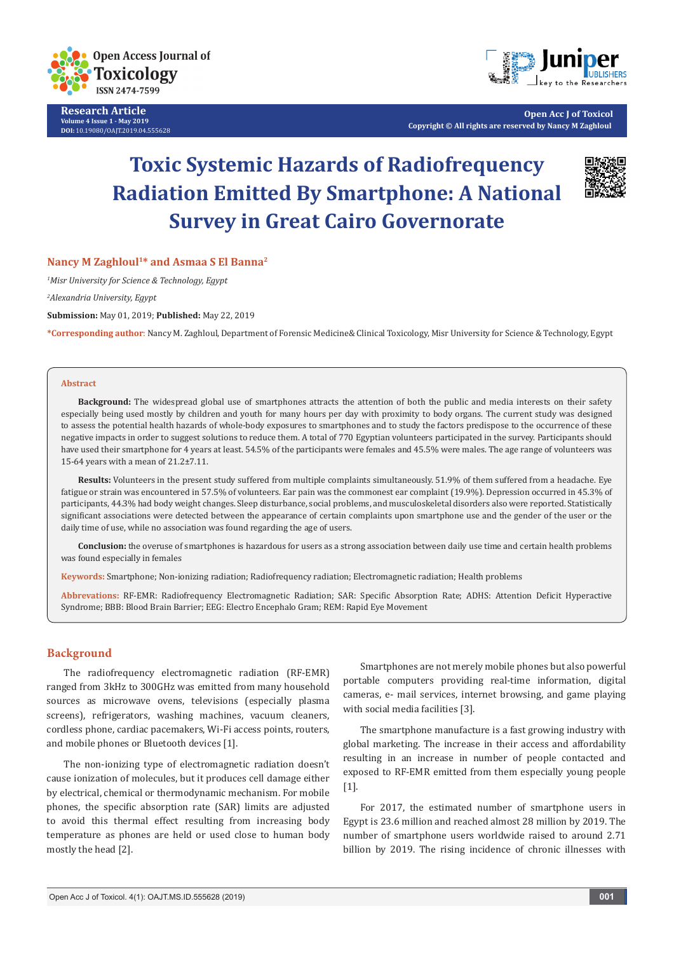

**Research Article Volume 4 Issue 1 - May 2019 DOI:** [10.19080/OAJT.2019.04.555628](http://dx.doi.org/10.19080/OAJT.2019.04.555628)



**Open Acc J of Toxicol Copyright © All rights are reserved by Nancy M Zaghloul**

# **Toxic Systemic Hazards of Radiofrequency Radiation Emitted By Smartphone: A National Survey in Great Cairo Governorate**



## **Nancy M Zaghloul1\* and Asmaa S El Banna2**

*1 Misr University for Science & Technology, Egypt*

*2 Alexandria University, Egypt*

**Submission:** May 01, 2019; **Published:** May 22, 2019

**\*Corresponding author**: Nancy M. Zaghloul, Department of Forensic Medicine& Clinical Toxicology, Misr University for Science & Technology, Egypt

#### **Abstract**

**Background:** The widespread global use of smartphones attracts the attention of both the public and media interests on their safety especially being used mostly by children and youth for many hours per day with proximity to body organs. The current study was designed to assess the potential health hazards of whole-body exposures to smartphones and to study the factors predispose to the occurrence of these negative impacts in order to suggest solutions to reduce them. A total of 770 Egyptian volunteers participated in the survey. Participants should have used their smartphone for 4 years at least. 54.5% of the participants were females and 45.5% were males. The age range of volunteers was 15-64 years with a mean of 21.2±7.11.

**Results:** Volunteers in the present study suffered from multiple complaints simultaneously. 51.9% of them suffered from a headache. Eye fatigue or strain was encountered in 57.5% of volunteers. Ear pain was the commonest ear complaint (19.9%). Depression occurred in 45.3% of participants, 44.3% had body weight changes. Sleep disturbance, social problems, and musculoskeletal disorders also were reported. Statistically significant associations were detected between the appearance of certain complaints upon smartphone use and the gender of the user or the daily time of use, while no association was found regarding the age of users.

**Conclusion:** the overuse of smartphones is hazardous for users as a strong association between daily use time and certain health problems was found especially in females

**Keywords:** Smartphone; Non-ionizing radiation; Radiofrequency radiation; Electromagnetic radiation; Health problems

**Abbrevations:** RF-EMR: Radiofrequency Electromagnetic Radiation; SAR: Specific Absorption Rate; ADHS: Attention Deficit Hyperactive Syndrome; BBB: Blood Brain Barrier; EEG: Electro Encephalo Gram; REM: Rapid Eye Movement

## **Background**

The radiofrequency electromagnetic radiation (RF-EMR) ranged from 3kHz to 300GHz was emitted from many household sources as microwave ovens, televisions (especially plasma screens), refrigerators, washing machines, vacuum cleaners, cordless phone, cardiac pacemakers, Wi-Fi access points, routers, and mobile phones or Bluetooth devices [1].

The non-ionizing type of electromagnetic radiation doesn't cause ionization of molecules, but it produces cell damage either by electrical, chemical or thermodynamic mechanism. For mobile phones, the specific absorption rate (SAR) limits are adjusted to avoid this thermal effect resulting from increasing body temperature as phones are held or used close to human body mostly the head [2].

Smartphones are not merely mobile phones but also powerful portable computers providing real-time information, digital cameras, e- mail services, internet browsing, and game playing with social media facilities [3].

The smartphone manufacture is a fast growing industry with global marketing. The increase in their access and affordability resulting in an increase in number of people contacted and exposed to RF-EMR emitted from them especially young people [1].

For 2017, the estimated number of smartphone users in Egypt is 23.6 million and reached almost 28 million by 2019. The number of smartphone users worldwide raised to around 2.71 billion by 2019. The rising incidence of chronic illnesses with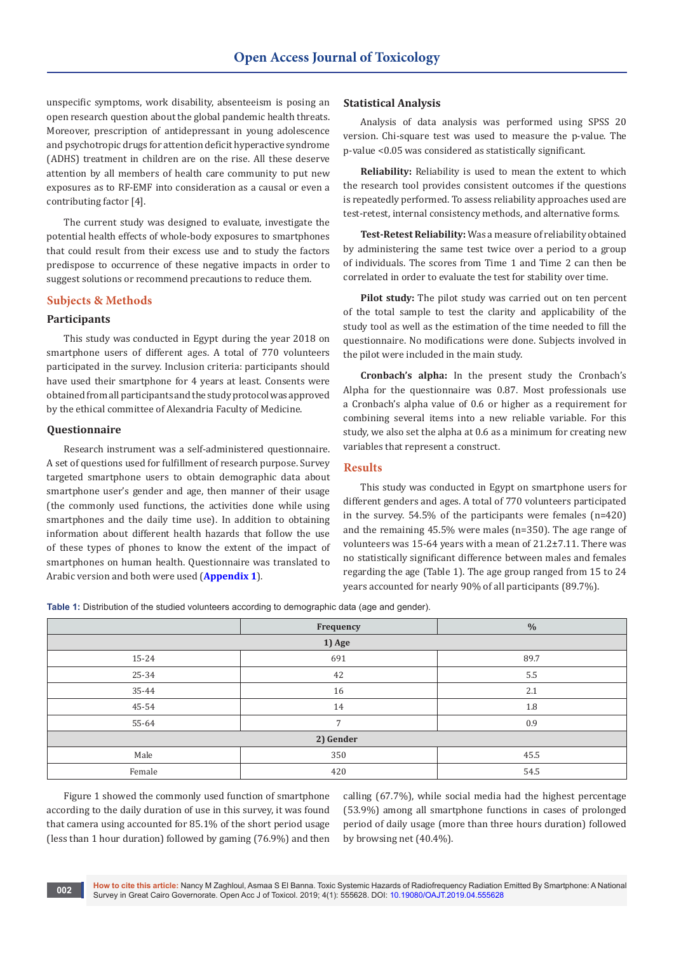unspecific symptoms, work disability, absenteeism is posing an open research question about the global pandemic health threats. Moreover, prescription of antidepressant in young adolescence and psychotropic drugs for attention deficit hyperactive syndrome (ADHS) treatment in children are on the rise. All these deserve attention by all members of health care community to put new exposures as to RF-EMF into consideration as a causal or even a contributing factor [4].

The current study was designed to evaluate, investigate the potential health effects of whole-body exposures to smartphones that could result from their excess use and to study the factors predispose to occurrence of these negative impacts in order to suggest solutions or recommend precautions to reduce them.

## **Subjects & Methods**

## **Participants**

This study was conducted in Egypt during the year 2018 on smartphone users of different ages. A total of 770 volunteers participated in the survey. Inclusion criteria: participants should have used their smartphone for 4 years at least. Consents were obtained from all participants and the study protocol was approved by the ethical committee of Alexandria Faculty of Medicine.

#### **Questionnaire**

Research instrument was a self-administered questionnaire. A set of questions used for fulfillment of research purpose. Survey targeted smartphone users to obtain demographic data about smartphone user's gender and age, then manner of their usage (the commonly used functions, the activities done while using smartphones and the daily time use). In addition to obtaining information about different health hazards that follow the use of these types of phones to know the extent of the impact of smartphones on human health. Questionnaire was translated to Arabic version and both were used (**[Appendix 1](https://juniperpublishers.com/oajt/pdf/OAJT.MS.ID.555628.Appendix.pdf)**).

#### **Statistical Analysis**

Analysis of data analysis was performed using SPSS 20 version. Chi-square test was used to measure the p-value. The p-value <0.05 was considered as statistically significant.

**Reliability:** Reliability is used to mean the extent to which the research tool provides consistent outcomes if the questions is repeatedly performed. To assess reliability approaches used are test-retest, internal consistency methods, and alternative forms.

**Test-Retest Reliability:** Was a measure of reliability obtained by administering the same test twice over a period to a group of individuals. The scores from Time 1 and Time 2 can then be correlated in order to evaluate the test for stability over time.

**Pilot study:** The pilot study was carried out on ten percent of the total sample to test the clarity and applicability of the study tool as well as the estimation of the time needed to fill the questionnaire. No modifications were done. Subjects involved in the pilot were included in the main study.

**Cronbach's alpha:** In the present study the Cronbach's Alpha for the questionnaire was 0.87. Most professionals use a Cronbach's alpha value of 0.6 or higher as a requirement for combining several items into a new reliable variable. For this study, we also set the alpha at 0.6 as a minimum for creating new variables that represent a construct.

## **Results**

This study was conducted in Egypt on smartphone users for different genders and ages. A total of 770 volunteers participated in the survey. 54.5% of the participants were females (n=420) and the remaining 45.5% were males (n=350). The age range of volunteers was 15-64 years with a mean of 21.2±7.11. There was no statistically significant difference between males and females regarding the age (Table 1). The age group ranged from 15 to 24 years accounted for nearly 90% of all participants (89.7%).

**Table 1:** Distribution of the studied volunteers according to demographic data (age and gender).

|           | Frequency      | $\frac{0}{0}$ |  |  |  |  |  |  |  |
|-----------|----------------|---------------|--|--|--|--|--|--|--|
| 1) Age    |                |               |  |  |  |  |  |  |  |
| 15-24     | 691            | 89.7          |  |  |  |  |  |  |  |
| 25-34     | 42             | $5.5\,$       |  |  |  |  |  |  |  |
| 35-44     | 16             | 2.1           |  |  |  |  |  |  |  |
| 45-54     | 14             | 1.8           |  |  |  |  |  |  |  |
| 55-64     | $\overline{7}$ | 0.9           |  |  |  |  |  |  |  |
| 2) Gender |                |               |  |  |  |  |  |  |  |
| Male      | 350            | 45.5          |  |  |  |  |  |  |  |
| Female    | 420            | 54.5          |  |  |  |  |  |  |  |

Figure 1 showed the commonly used function of smartphone according to the daily duration of use in this survey, it was found that camera using accounted for 85.1% of the short period usage (less than 1 hour duration) followed by gaming (76.9%) and then

calling (67.7%), while social media had the highest percentage (53.9%) among all smartphone functions in cases of prolonged period of daily usage (more than three hours duration) followed by browsing net (40.4%).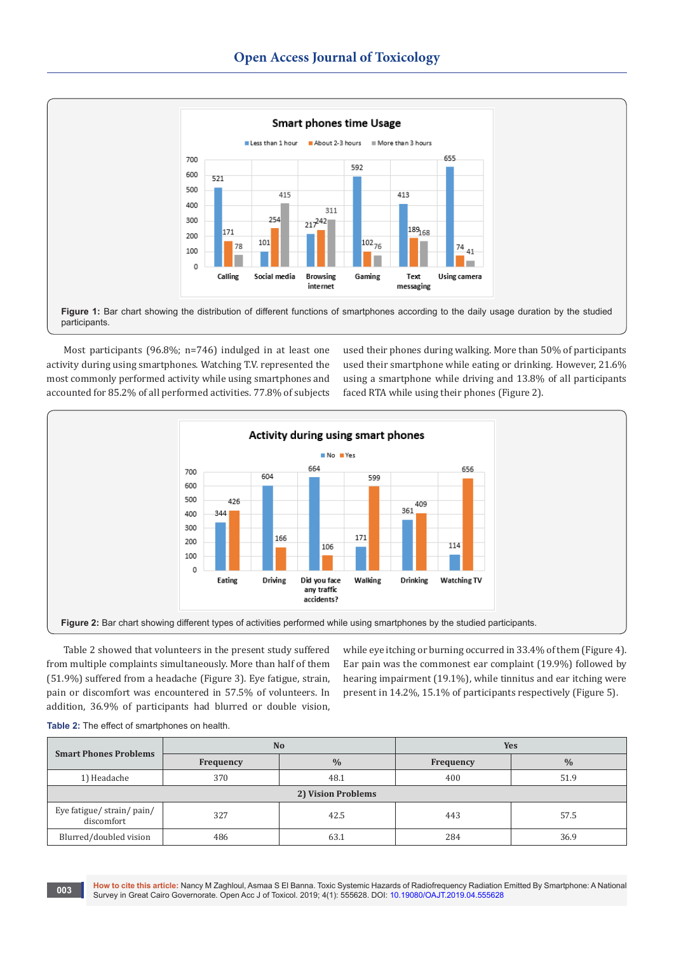

Most participants (96.8%; n=746) indulged in at least one activity during using smartphones. Watching T.V. represented the most commonly performed activity while using smartphones and accounted for 85.2% of all performed activities. 77.8% of subjects used their phones during walking. More than 50% of participants used their smartphone while eating or drinking. However, 21.6% using a smartphone while driving and 13.8% of all participants faced RTA while using their phones (Figure 2).



Table 2 showed that volunteers in the present study suffered from multiple complaints simultaneously. More than half of them (51.9%) suffered from a headache (Figure 3). Eye fatigue, strain, pain or discomfort was encountered in 57.5% of volunteers. In addition, 36.9% of participants had blurred or double vision,

while eye itching or burning occurred in 33.4% of them (Figure 4). Ear pain was the commonest ear complaint (19.9%) followed by hearing impairment (19.1%), while tinnitus and ear itching were present in 14.2%, 15.1% of participants respectively (Figure 5).

|  | Table 2: The effect of smartphones on health. |
|--|-----------------------------------------------|
|--|-----------------------------------------------|

| <b>Smart Phones Problems</b>             |                  | N <sub>o</sub> | <b>Yes</b> |               |  |  |  |  |
|------------------------------------------|------------------|----------------|------------|---------------|--|--|--|--|
|                                          | <b>Frequency</b> | $\frac{0}{0}$  | Frequency  | $\frac{0}{0}$ |  |  |  |  |
| 1) Headache                              | 370              | 48.1           | 400        | 51.9          |  |  |  |  |
| 2) Vision Problems                       |                  |                |            |               |  |  |  |  |
| Eye fatigue/ strain/ pain/<br>discomfort | 327              | 42.5           | 443        | 57.5          |  |  |  |  |
| Blurred/doubled vision                   | 486              | 63.1           | 284        | 36.9          |  |  |  |  |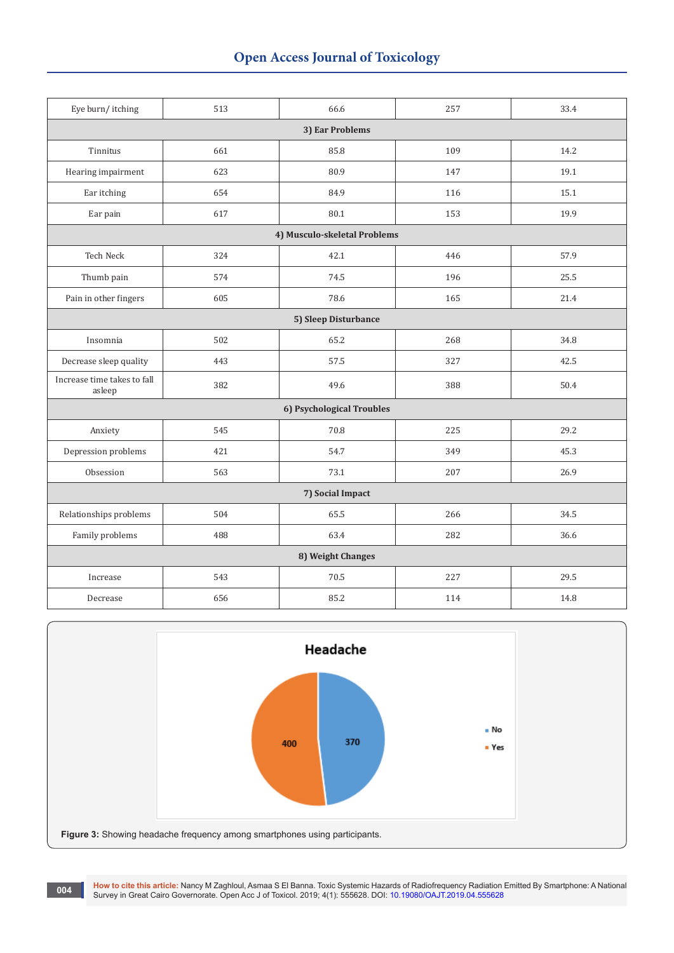## **Open Access Journal of Toxicology**

| Eye burn/itching                               | 513                  | 66.6                      | 257 | 33.4 |  |  |  |  |  |  |
|------------------------------------------------|----------------------|---------------------------|-----|------|--|--|--|--|--|--|
|                                                |                      | 3) Ear Problems           |     |      |  |  |  |  |  |  |
| Tinnitus                                       | 661                  | 85.8                      | 109 | 14.2 |  |  |  |  |  |  |
| Hearing impairment                             | 623                  | 80.9                      | 147 | 19.1 |  |  |  |  |  |  |
| Ear itching                                    | 654                  | 84.9                      | 116 | 15.1 |  |  |  |  |  |  |
| Ear pain                                       | 617                  | 80.1                      | 153 | 19.9 |  |  |  |  |  |  |
| 4) Musculo-skeletal Problems                   |                      |                           |     |      |  |  |  |  |  |  |
| <b>Tech Neck</b><br>57.9<br>324<br>42.1<br>446 |                      |                           |     |      |  |  |  |  |  |  |
| Thumb pain                                     | 574                  | 74.5                      | 196 | 25.5 |  |  |  |  |  |  |
| Pain in other fingers                          | 605                  | 78.6                      | 165 | 21.4 |  |  |  |  |  |  |
|                                                | 5) Sleep Disturbance |                           |     |      |  |  |  |  |  |  |
| Insomnia                                       | 502                  | 65.2                      | 268 | 34.8 |  |  |  |  |  |  |
| Decrease sleep quality                         | 443                  | 57.5                      | 327 | 42.5 |  |  |  |  |  |  |
| Increase time takes to fall<br>asleep          | 382                  | 49.6                      | 388 | 50.4 |  |  |  |  |  |  |
|                                                |                      | 6) Psychological Troubles |     |      |  |  |  |  |  |  |
| Anxiety                                        | 545                  | 70.8                      | 225 | 29.2 |  |  |  |  |  |  |
| Depression problems                            | 421                  | 54.7                      | 349 | 45.3 |  |  |  |  |  |  |
| Obsession                                      | 563                  | 73.1                      | 207 | 26.9 |  |  |  |  |  |  |
|                                                |                      | 7) Social Impact          |     |      |  |  |  |  |  |  |
| Relationships problems                         | 504                  | 65.5                      | 266 | 34.5 |  |  |  |  |  |  |
| Family problems                                | 488                  | 63.4                      | 282 | 36.6 |  |  |  |  |  |  |
|                                                |                      | 8) Weight Changes         |     |      |  |  |  |  |  |  |
| Increase                                       | 543                  | 70.5                      | 227 | 29.5 |  |  |  |  |  |  |
| Decrease                                       | 656                  | 85.2                      | 114 | 14.8 |  |  |  |  |  |  |



004 How to cite this article: Nancy M Zaghloul, Asmaa S El Banna. Toxic Systemic Hazards of Radiofrequency Radiation Emitted By Smartphone: A National (1980) Survey in Great Cairo Governorate. Open Acc J of Toxicol. 2019;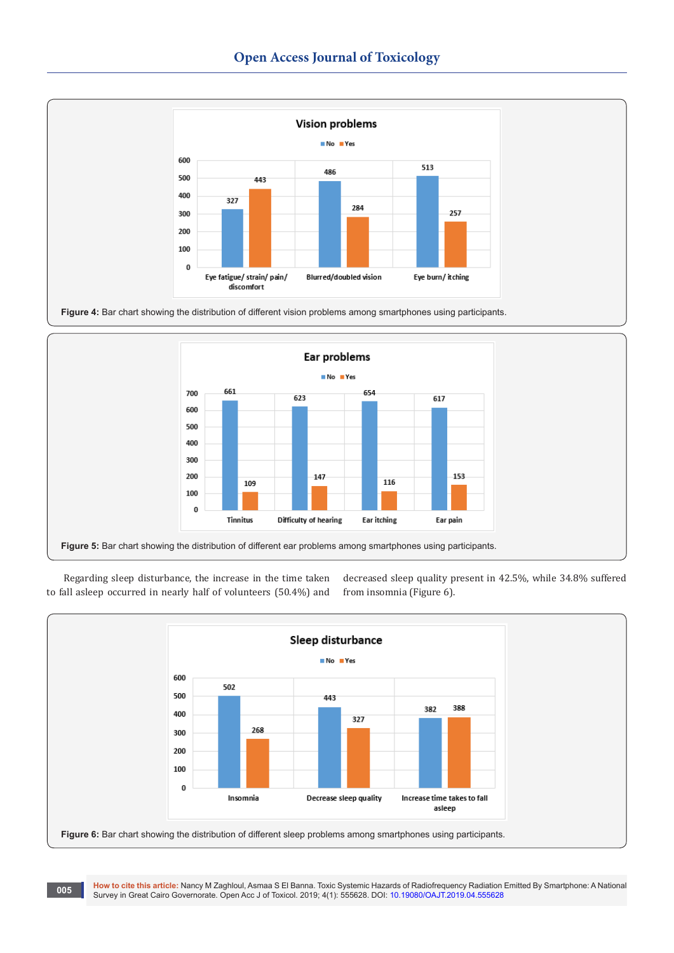





Regarding sleep disturbance, the increase in the time taken to fall asleep occurred in nearly half of volunteers (50.4%) and decreased sleep quality present in 42.5%, while 34.8% suffered from insomnia (Figure 6).

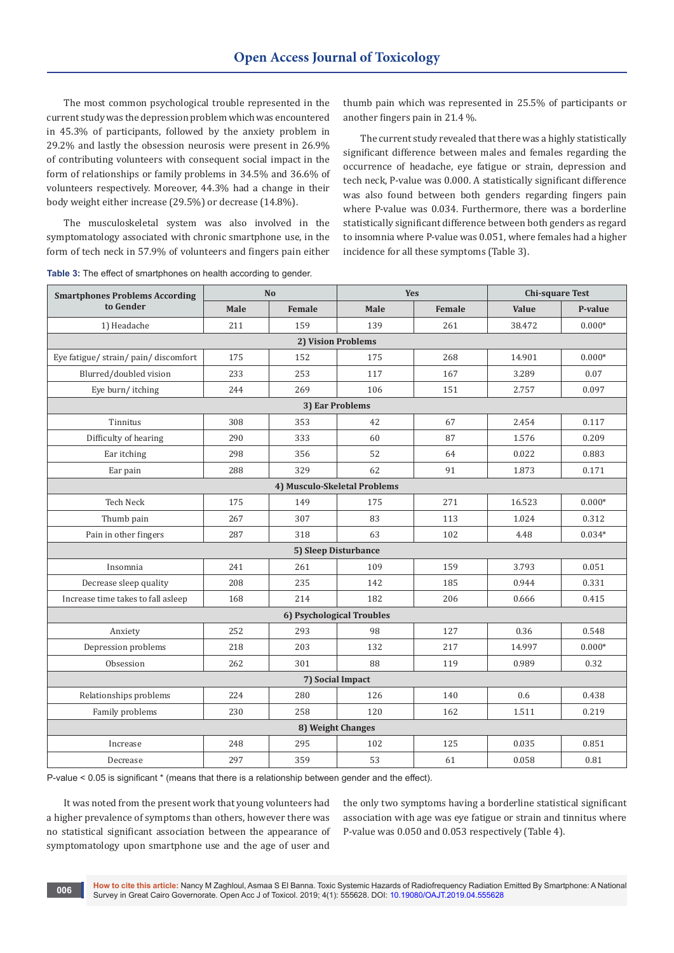The most common psychological trouble represented in the current study was the depression problem which was encountered in 45.3% of participants, followed by the anxiety problem in 29.2% and lastly the obsession neurosis were present in 26.9% of contributing volunteers with consequent social impact in the form of relationships or family problems in 34.5% and 36.6% of volunteers respectively. Moreover, 44.3% had a change in their body weight either increase (29.5%) or decrease (14.8%).

The musculoskeletal system was also involved in the symptomatology associated with chronic smartphone use, in the form of tech neck in 57.9% of volunteers and fingers pain either

thumb pain which was represented in 25.5% of participants or another fingers pain in 21.4 %.

The current study revealed that there was a highly statistically significant difference between males and females regarding the occurrence of headache, eye fatigue or strain, depression and tech neck, P-value was 0.000. A statistically significant difference was also found between both genders regarding fingers pain where P-value was 0.034. Furthermore, there was a borderline statistically significant difference between both genders as regard to insomnia where P-value was 0.051, where females had a higher incidence for all these symptoms (Table 3).

| <b>Smartphones Problems According</b> |      | N <sub>o</sub> | <b>Yes</b>                |               | <b>Chi-square Test</b> |          |  |  |  |
|---------------------------------------|------|----------------|---------------------------|---------------|------------------------|----------|--|--|--|
| to Gender                             | Male | Female         | Male                      | Female        | Value                  | P-value  |  |  |  |
| 1) Headache                           | 211  | 159            | 139                       | 261           | 38.472                 | $0.000*$ |  |  |  |
|                                       |      |                | 2) Vision Problems        |               |                        |          |  |  |  |
| Eye fatigue/strain/pain/discomfort    | 175  | 152            | 175                       | 268<br>14.901 |                        |          |  |  |  |
| Blurred/doubled vision                | 233  | 253            | 117                       | 167           | 3.289                  | 0.07     |  |  |  |
| Eye burn/itching                      | 244  | 269            | 106                       | 151           | 2.757                  | 0.097    |  |  |  |
| 3) Ear Problems                       |      |                |                           |               |                        |          |  |  |  |
| Tinnitus                              | 308  | 353            | 42                        | 67            | 2.454                  | 0.117    |  |  |  |
| Difficulty of hearing                 | 290  | 333            | 60                        | 87            | 1.576                  | 0.209    |  |  |  |
| Ear itching                           | 298  | 356            | 52                        | 64            | 0.022                  | 0.883    |  |  |  |
| Ear pain                              | 288  | 329            | 62                        | 91            | 1.873                  | 0.171    |  |  |  |
| 4) Musculo-Skeletal Problems          |      |                |                           |               |                        |          |  |  |  |
| <b>Tech Neck</b>                      | 175  | 149            | 175                       | 271           | 16.523                 | $0.000*$ |  |  |  |
| Thumb pain                            | 267  | 307            | 83                        | 113           | 1.024                  | 0.312    |  |  |  |
| Pain in other fingers                 | 287  | 318            | 63                        | 102           | 4.48                   | $0.034*$ |  |  |  |
|                                       |      |                | 5) Sleep Disturbance      |               |                        |          |  |  |  |
| Insomnia                              | 241  | 261            | 109                       | 159           | 3.793                  | 0.051    |  |  |  |
| Decrease sleep quality                | 208  | 235            | 142                       | 185           | 0.944                  | 0.331    |  |  |  |
| Increase time takes to fall asleep    | 168  | 214            | 182                       | 206           | 0.666                  | 0.415    |  |  |  |
|                                       |      |                | 6) Psychological Troubles |               |                        |          |  |  |  |
| Anxiety                               | 252  | 293            | 98                        | 127           | 0.36                   | 0.548    |  |  |  |
| Depression problems                   | 218  | 203            | 132                       | 217           | 14.997                 | $0.000*$ |  |  |  |
| Obsession                             | 262  | 301            | 88                        | 119           | 0.989                  | 0.32     |  |  |  |
|                                       |      |                | 7) Social Impact          |               |                        |          |  |  |  |
| Relationships problems                | 224  | 280            | 126                       | 140           | 0.6                    | 0.438    |  |  |  |
| Family problems                       | 230  | 258            | 120                       | 162           | 1.511                  | 0.219    |  |  |  |
|                                       |      |                | 8) Weight Changes         |               |                        |          |  |  |  |
| Increase                              | 248  | 295            | 102                       | 125           | 0.035                  | 0.851    |  |  |  |
| Decrease                              | 297  | 359            | 53                        | 61            | 0.058                  | 0.81     |  |  |  |

**Table 3:** The effect of smartphones on health according to gender.

P-value < 0.05 is significant \* (means that there is a relationship between gender and the effect).

It was noted from the present work that young volunteers had a higher prevalence of symptoms than others, however there was no statistical significant association between the appearance of symptomatology upon smartphone use and the age of user and

the only two symptoms having a borderline statistical significant association with age was eye fatigue or strain and tinnitus where P-value was 0.050 and 0.053 respectively (Table 4).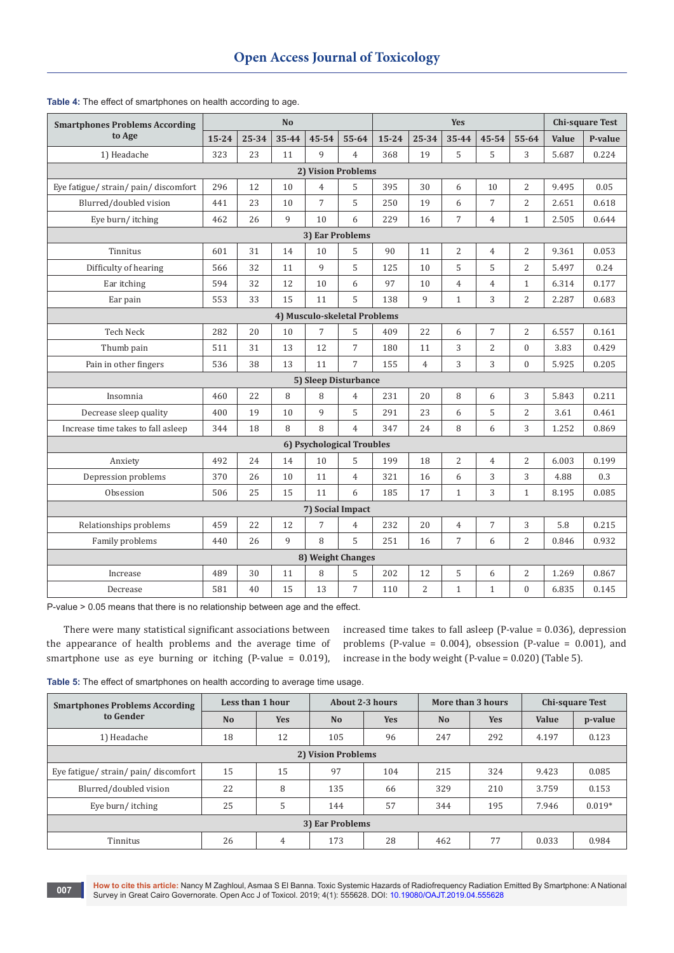| <b>Smartphones Problems According</b> | N <sub>o</sub> |       |       |                | Yes                       |           |                |                | <b>Chi-square Test</b> |                |       |         |
|---------------------------------------|----------------|-------|-------|----------------|---------------------------|-----------|----------------|----------------|------------------------|----------------|-------|---------|
| to Age                                | $15 - 24$      | 25-34 | 35-44 | 45-54          | $55 - 64$                 | $15 - 24$ | 25-34          | 35-44          | 45-54                  | $55 - 64$      | Value | P-value |
| 1) Headache                           | 323            | 23    | 11    | $\mathsf{q}$   | $\overline{4}$            | 368       | 19             | 5              | 5                      | 3              | 5.687 | 0.224   |
|                                       |                |       |       |                | 2) Vision Problems        |           |                |                |                        |                |       |         |
| Eye fatigue/ strain/ pain/ discomfort | 296            | 12    | 10    | $\overline{4}$ | 5                         | 395       | 30             | 6              | 10                     | $\overline{2}$ | 9.495 | 0.05    |
| Blurred/doubled vision                | 441            | 23    | 10    | 7              | 5                         | 250       | 19             | 6              | 7                      | $\overline{2}$ | 2.651 | 0.618   |
| Eye burn/itching                      | 462            | 26    | 9     | 10             | 6                         | 229       | 16             | $\overline{7}$ | $\overline{4}$         | $\mathbf{1}$   | 2.505 | 0.644   |
| 3) Ear Problems                       |                |       |       |                |                           |           |                |                |                        |                |       |         |
| Tinnitus                              | 601            | 31    | 14    | 10             | 5                         | 90        | 11             | $\overline{2}$ | $\overline{4}$         | $\overline{2}$ | 9.361 | 0.053   |
| Difficulty of hearing                 | 566            | 32    | 11    | $\mathbf{q}$   | 5                         | 125       | 10             | 5              | 5                      | $\overline{2}$ | 5.497 | 0.24    |
| Ear itching                           | 594            | 32    | 12    | 10             | 6                         | 97        | 10             | $\overline{4}$ | $\overline{4}$         | $\mathbf{1}$   | 6.314 | 0.177   |
| Ear pain                              | 553            | 33    | 15    | 11             | 5                         | 138       | 9              | $\mathbf{1}$   | 3                      | $\overline{2}$ | 2.287 | 0.683   |
| 4) Musculo-skeletal Problems          |                |       |       |                |                           |           |                |                |                        |                |       |         |
| <b>Tech Neck</b>                      | 282            | 20    | 10    | $\overline{7}$ | 5                         | 409       | 22             | 6              | $\overline{7}$         | $\overline{2}$ | 6.557 | 0.161   |
| Thumb pain                            | 511            | 31    | 13    | 12             | 7                         | 180       | 11             | 3              | $\overline{2}$         | $\mathbf{0}$   | 3.83  | 0.429   |
| Pain in other fingers                 | 536            | 38    | 13    | 11             | 7                         | 155       | $\overline{4}$ | 3              | 3                      | $\theta$       | 5.925 | 0.205   |
|                                       |                |       |       |                | 5) Sleep Disturbance      |           |                |                |                        |                |       |         |
| Insomnia                              | 460            | 22    | 8     | 8              | $\overline{4}$            | 231       | 20             | 8              | 6                      | 3              | 5.843 | 0.211   |
| Decrease sleep quality                | 400            | 19    | 10    | 9              | 5                         | 291       | 23             | 6              | 5                      | $\overline{2}$ | 3.61  | 0.461   |
| Increase time takes to fall asleep    | 344            | 18    | 8     | 8              | $\overline{4}$            | 347       | 24             | 8              | 6                      | 3              | 1.252 | 0.869   |
|                                       |                |       |       |                | 6) Psychological Troubles |           |                |                |                        |                |       |         |
| Anxiety                               | 492            | 24    | 14    | 10             | 5                         | 199       | 18             | $\overline{c}$ | $\overline{4}$         | $\overline{2}$ | 6.003 | 0.199   |
| Depression problems                   | 370            | 26    | 10    | 11             | $\overline{4}$            | 321       | 16             | 6              | 3                      | 3              | 4.88  | 0.3     |
| Obsession                             | 506            | 25    | 15    | 11             | 6                         | 185       | 17             | $\mathbf{1}$   | 3                      | $\mathbf{1}$   | 8.195 | 0.085   |
|                                       |                |       |       |                | 7) Social Impact          |           |                |                |                        |                |       |         |
| Relationships problems                | 459            | 22    | 12    | $\overline{7}$ | $\overline{4}$            | 232       | 20             | $\overline{4}$ | $\overline{7}$         | 3              | 5.8   | 0.215   |
| Family problems                       | 440            | 26    | 9     | 8              | 5                         | 251       | 16             | $\overline{7}$ | 6                      | $\overline{c}$ | 0.846 | 0.932   |
|                                       |                |       |       |                | 8) Weight Changes         |           |                |                |                        |                |       |         |
| Increase                              | 489            | 30    | 11    | 8              | 5                         | 202       | 12             | 5              | 6                      | $\overline{2}$ | 1.269 | 0.867   |
| Decrease                              | 581            | 40    | 15    | 13             | $\overline{7}$            | 110       | $\overline{2}$ | $\mathbf{1}$   | $\mathbf{1}$           | $\mathbf{0}$   | 6.835 | 0.145   |

## **Table 4:** The effect of smartphones on health according to age.

P-value > 0.05 means that there is no relationship between age and the effect.

There were many statistical significant associations between the appearance of health problems and the average time of smartphone use as eye burning or itching (P-value = 0.019), increased time takes to fall asleep (P-value = 0.036), depression problems (P-value =  $0.004$ ), obsession (P-value =  $0.001$ ), and increase in the body weight (P-value = 0.020) (Table 5).

| Table 5: The effect of smartphones on health according to average time usage. |  |  |  |  |
|-------------------------------------------------------------------------------|--|--|--|--|
|-------------------------------------------------------------------------------|--|--|--|--|

| <b>Smartphones Problems According</b> |                | Less than 1 hour |                | About 2-3 hours |                | More than 3 hours | <b>Chi-square Test</b> |          |  |
|---------------------------------------|----------------|------------------|----------------|-----------------|----------------|-------------------|------------------------|----------|--|
| to Gender                             | N <sub>o</sub> | <b>Yes</b>       | N <sub>o</sub> | <b>Yes</b>      | N <sub>o</sub> | <b>Yes</b>        | Value                  | p-value  |  |
| 1) Headache                           | 18             | 12               | 105            | 96              | 247            | 292               | 4.197                  | 0.123    |  |
| 2) Vision Problems                    |                |                  |                |                 |                |                   |                        |          |  |
| Eye fatigue/strain/pain/discomfort    | 15             | 15               | 97             | 104             | 215            | 324               | 9.423                  | 0.085    |  |
| Blurred/doubled vision                | 22             | 8                | 135            | 66              | 329            | 210               | 3.759                  | 0.153    |  |
| Eye burn/itching                      | 25             | 5                | 144            | 57              | 344            | 195               | 7.946                  | $0.019*$ |  |
| 3) Ear Problems                       |                |                  |                |                 |                |                   |                        |          |  |
| Tinnitus                              | 26             | 4                | 173            | 28              | 462            | 77                | 0.033                  | 0.984    |  |

**How to cite this article:** Nancy M Zaghloul, Asmaa S El Banna. Toxic Systemic Hazards of Radiofrequency Radiation Emitted By Smartphone: A National Survey in Great Cairo Governorate. Open Acc J of Toxicol. 2019; 4(1): 555628. DOI: [10.19080/OAJT.2019.04.555628](http://dx.doi.org/10.19080/OAJT.2019.04.555628) **<sup>007</sup>**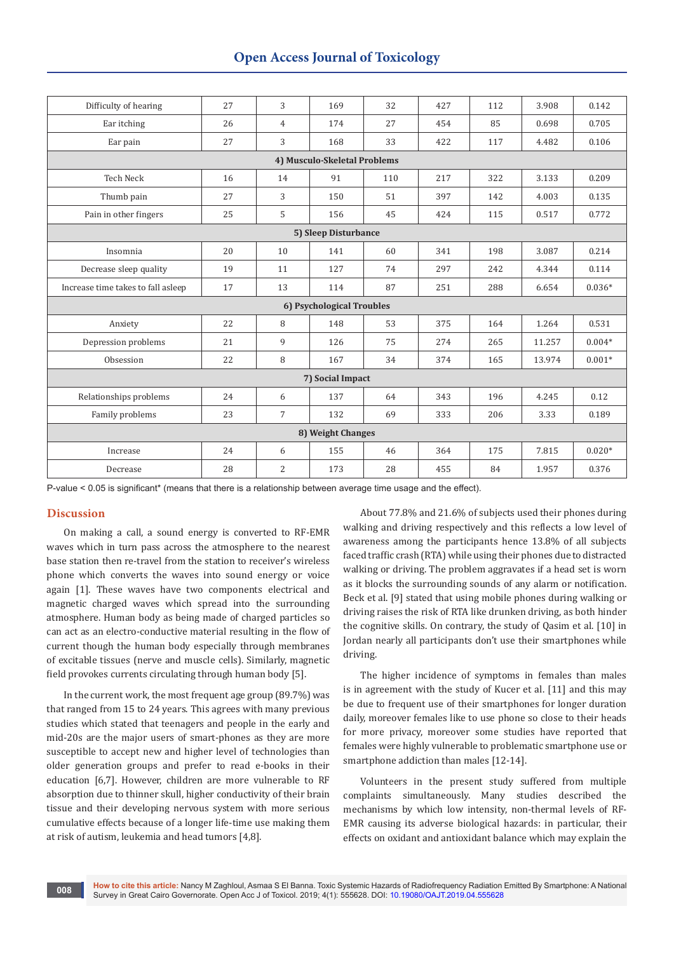| Difficulty of hearing              | 27 | 3              | 169                       | 32  | 427 | 112 | 3.908  | 0.142    |  |  |  |  |
|------------------------------------|----|----------------|---------------------------|-----|-----|-----|--------|----------|--|--|--|--|
| Ear itching                        | 26 | 4              | 174                       | 27  | 454 | 85  | 0.698  | 0.705    |  |  |  |  |
| Ear pain                           | 27 | 3              | 168                       | 33  | 422 | 117 | 4.482  | 0.106    |  |  |  |  |
| 4) Musculo-Skeletal Problems       |    |                |                           |     |     |     |        |          |  |  |  |  |
| <b>Tech Neck</b>                   | 16 | 14             | 91                        | 110 | 217 | 322 | 3.133  | 0.209    |  |  |  |  |
| Thumb pain                         | 27 | 3              | 150                       | 51  | 397 | 142 | 4.003  | 0.135    |  |  |  |  |
| Pain in other fingers              | 25 | 5              | 156                       | 45  | 424 | 115 | 0.517  | 0.772    |  |  |  |  |
| 5) Sleep Disturbance               |    |                |                           |     |     |     |        |          |  |  |  |  |
| Insomnia                           | 20 | 10             | 141                       | 60  | 341 | 198 | 3.087  | 0.214    |  |  |  |  |
| Decrease sleep quality             | 19 | 11             | 127                       | 74  | 297 | 242 | 4.344  | 0.114    |  |  |  |  |
| Increase time takes to fall asleep | 17 | 13             | 114                       | 87  | 251 | 288 | 6.654  | $0.036*$ |  |  |  |  |
|                                    |    |                | 6) Psychological Troubles |     |     |     |        |          |  |  |  |  |
| Anxiety                            | 22 | 8              | 148                       | 53  | 375 | 164 | 1.264  | 0.531    |  |  |  |  |
| Depression problems                | 21 | 9              | 126                       | 75  | 274 | 265 | 11.257 | $0.004*$ |  |  |  |  |
| Obsession                          | 22 | 8              | 167                       | 34  | 374 | 165 | 13.974 | $0.001*$ |  |  |  |  |
|                                    |    |                | 7) Social Impact          |     |     |     |        |          |  |  |  |  |
| Relationships problems             | 24 | 6              | 137                       | 64  | 343 | 196 | 4.245  | 0.12     |  |  |  |  |
| Family problems                    | 23 | $\overline{7}$ | 132                       | 69  | 333 | 206 | 3.33   | 0.189    |  |  |  |  |
|                                    |    |                | 8) Weight Changes         |     |     |     |        |          |  |  |  |  |
| Increase                           | 24 | 6              | 155                       | 46  | 364 | 175 | 7.815  | $0.020*$ |  |  |  |  |
| Decrease                           | 28 | $\overline{2}$ | 173                       | 28  | 455 | 84  | 1.957  | 0.376    |  |  |  |  |

P-value < 0.05 is significant\* (means that there is a relationship between average time usage and the effect).

## **Discussion**

On making a call, a sound energy is converted to RF-EMR waves which in turn pass across the atmosphere to the nearest base station then re-travel from the station to receiver's wireless phone which converts the waves into sound energy or voice again [1]. These waves have two components electrical and magnetic charged waves which spread into the surrounding atmosphere. Human body as being made of charged particles so can act as an electro-conductive material resulting in the flow of current though the human body especially through membranes of excitable tissues (nerve and muscle cells). Similarly, magnetic field provokes currents circulating through human body [5].

In the current work, the most frequent age group (89.7%) was that ranged from 15 to 24 years. This agrees with many previous studies which stated that teenagers and people in the early and mid-20s are the major users of smart-phones as they are more susceptible to accept new and higher level of technologies than older generation groups and prefer to read e-books in their education [6,7]. However, children are more vulnerable to RF absorption due to thinner skull, higher conductivity of their brain tissue and their developing nervous system with more serious cumulative effects because of a longer life-time use making them at risk of autism, leukemia and head tumors [4,8].

About 77.8% and 21.6% of subjects used their phones during walking and driving respectively and this reflects a low level of awareness among the participants hence 13.8% of all subjects faced traffic crash (RTA) while using their phones due to distracted walking or driving. The problem aggravates if a head set is worn as it blocks the surrounding sounds of any alarm or notification. Beck et al. [9] stated that using mobile phones during walking or driving raises the risk of RTA like drunken driving, as both hinder the cognitive skills. On contrary, the study of Qasim et al. [10] in Jordan nearly all participants don't use their smartphones while driving.

The higher incidence of symptoms in females than males is in agreement with the study of Kucer et al. [11] and this may be due to frequent use of their smartphones for longer duration daily, moreover females like to use phone so close to their heads for more privacy, moreover some studies have reported that females were highly vulnerable to problematic smartphone use or smartphone addiction than males [12-14].

Volunteers in the present study suffered from multiple complaints simultaneously. Many studies described the mechanisms by which low intensity, non-thermal levels of RF-EMR causing its adverse biological hazards: in particular, their effects on oxidant and antioxidant balance which may explain the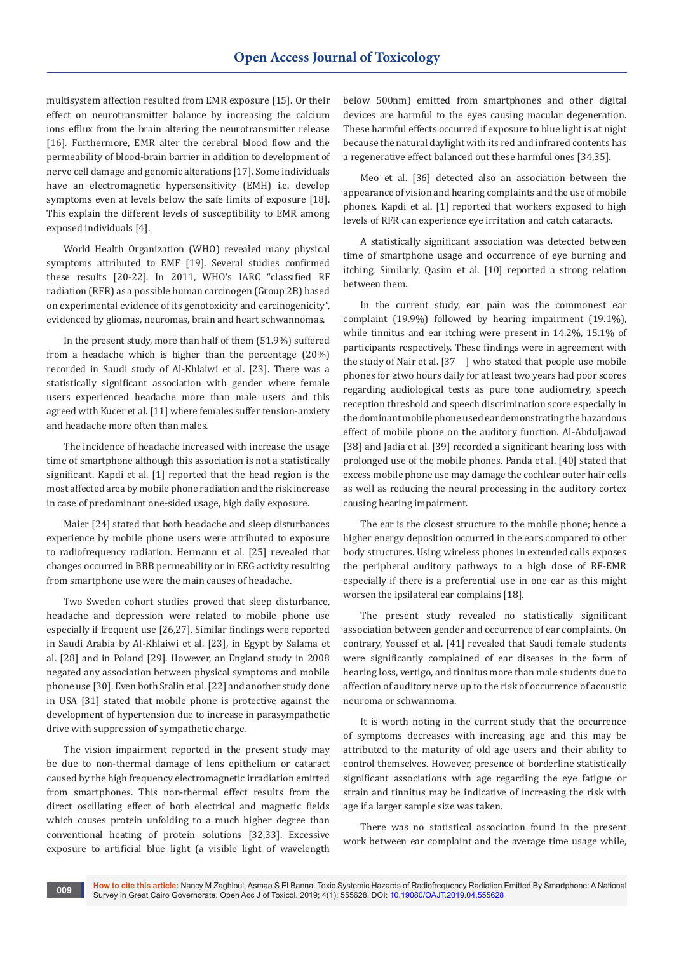multisystem affection resulted from EMR exposure [15]. Or their effect on neurotransmitter balance by increasing the calcium ions efflux from the brain altering the neurotransmitter release [16]. Furthermore, EMR alter the cerebral blood flow and the permeability of blood-brain barrier in addition to development of nerve cell damage and genomic alterations [17]. Some individuals have an electromagnetic hypersensitivity (EMH) i.e. develop symptoms even at levels below the safe limits of exposure [18]. This explain the different levels of susceptibility to EMR among exposed individuals [4].

World Health Organization (WHO) revealed many physical symptoms attributed to EMF [19]. Several studies confirmed these results [20-22]. In 2011, WHO's IARC "classified RF radiation (RFR) as a possible human carcinogen (Group 2B) based on experimental evidence of its genotoxicity and carcinogenicity", evidenced by gliomas, neuromas, brain and heart schwannomas.

In the present study, more than half of them (51.9%) suffered from a headache which is higher than the percentage (20%) recorded in Saudi study of Al-Khlaiwi et al. [23]. There was a statistically significant association with gender where female users experienced headache more than male users and this agreed with Kucer et al. [11] where females suffer tension-anxiety and headache more often than males.

The incidence of headache increased with increase the usage time of smartphone although this association is not a statistically significant. Kapdi et al. [1] reported that the head region is the most affected area by mobile phone radiation and the risk increase in case of predominant one-sided usage, high daily exposure.

Maier [24] stated that both headache and sleep disturbances experience by mobile phone users were attributed to exposure to radiofrequency radiation. Hermann et al. [25] revealed that changes occurred in BBB permeability or in EEG activity resulting from smartphone use were the main causes of headache.

Two Sweden cohort studies proved that sleep disturbance, headache and depression were related to mobile phone use especially if frequent use [26,27]. Similar findings were reported in Saudi Arabia by Al-Khlaiwi et al. [23], in Egypt by Salama et al. [28] and in Poland [29]. However, an England study in 2008 negated any association between physical symptoms and mobile phone use [30]. Even both Stalin et al. [22] and another study done in USA [31] stated that mobile phone is protective against the development of hypertension due to increase in parasympathetic drive with suppression of sympathetic charge.

The vision impairment reported in the present study may be due to non-thermal damage of lens epithelium or cataract caused by the high frequency electromagnetic irradiation emitted from smartphones. This non-thermal effect results from the direct oscillating effect of both electrical and magnetic fields which causes protein unfolding to a much higher degree than conventional heating of protein solutions [32,33]. Excessive exposure to artificial blue light (a visible light of wavelength below 500nm) emitted from smartphones and other digital devices are harmful to the eyes causing macular degeneration. These harmful effects occurred if exposure to blue light is at night because the natural daylight with its red and infrared contents has a regenerative effect balanced out these harmful ones [34,35].

Meo et al. [36] detected also an association between the appearance of vision and hearing complaints and the use of mobile phones. Kapdi et al. [1] reported that workers exposed to high levels of RFR can experience eye irritation and catch cataracts.

A statistically significant association was detected between time of smartphone usage and occurrence of eye burning and itching. Similarly, Qasim et al. [10] reported a strong relation between them.

In the current study, ear pain was the commonest ear complaint (19.9%) followed by hearing impairment (19.1%), while tinnitus and ear itching were present in 14.2%, 15.1% of participants respectively. These findings were in agreement with the study of Nair et al. [37  $\mid$  who stated that people use mobile phones for ≥two hours daily for at least two years had poor scores regarding audiological tests as pure tone audiometry, speech reception threshold and speech discrimination score especially in the dominant mobile phone used ear demonstrating the hazardous effect of mobile phone on the auditory function. Al-Abduljawad [38] and Jadia et al. [39] recorded a significant hearing loss with prolonged use of the mobile phones. Panda et al. [40] stated that excess mobile phone use may damage the cochlear outer hair cells as well as reducing the neural processing in the auditory cortex causing hearing impairment.

The ear is the closest structure to the mobile phone; hence a higher energy deposition occurred in the ears compared to other body structures. Using wireless phones in extended calls exposes the peripheral auditory pathways to a high dose of RF-EMR especially if there is a preferential use in one ear as this might worsen the ipsilateral ear complains [18].

The present study revealed no statistically significant association between gender and occurrence of ear complaints. On contrary, Youssef et al. [41] revealed that Saudi female students were significantly complained of ear diseases in the form of hearing loss, vertigo, and tinnitus more than male students due to affection of auditory nerve up to the risk of occurrence of acoustic neuroma or schwannoma.

It is worth noting in the current study that the occurrence of symptoms decreases with increasing age and this may be attributed to the maturity of old age users and their ability to control themselves. However, presence of borderline statistically significant associations with age regarding the eye fatigue or strain and tinnitus may be indicative of increasing the risk with age if a larger sample size was taken.

There was no statistical association found in the present work between ear complaint and the average time usage while,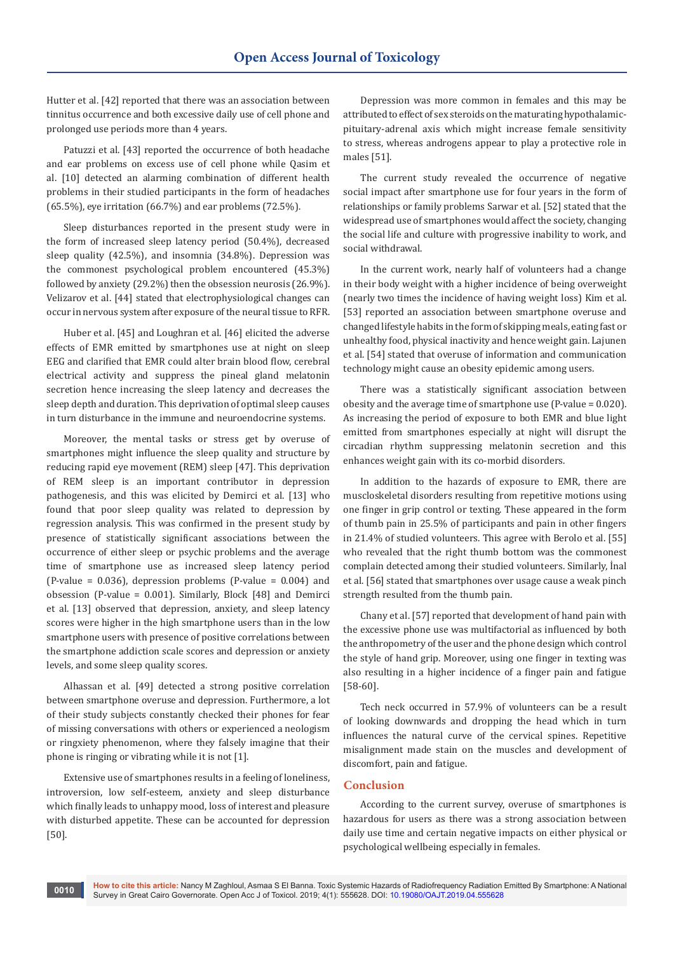Hutter et al. [42] reported that there was an association between tinnitus occurrence and both excessive daily use of cell phone and prolonged use periods more than 4 years.

Patuzzi et al. [43] reported the occurrence of both headache and ear problems on excess use of cell phone while Qasim et al. [10] detected an alarming combination of different health problems in their studied participants in the form of headaches (65.5%), eye irritation (66.7%) and ear problems (72.5%).

Sleep disturbances reported in the present study were in the form of increased sleep latency period (50.4%), decreased sleep quality (42.5%), and insomnia (34.8%). Depression was the commonest psychological problem encountered (45.3%) followed by anxiety (29.2%) then the obsession neurosis (26.9%). Velizarov et al. [44] stated that electrophysiological changes can occur in nervous system after exposure of the neural tissue to RFR.

Huber et al. [45] and Loughran et al. [46] elicited the adverse effects of EMR emitted by smartphones use at night on sleep EEG and clarified that EMR could alter brain blood flow, cerebral electrical activity and suppress the pineal gland melatonin secretion hence increasing the sleep latency and decreases the sleep depth and duration. This deprivation of optimal sleep causes in turn disturbance in the immune and neuroendocrine systems.

Moreover, the mental tasks or stress get by overuse of smartphones might influence the sleep quality and structure by reducing rapid eye movement (REM) sleep [47]. This deprivation of REM sleep is an important contributor in depression pathogenesis, and this was elicited by Demirci et al. [13] who found that poor sleep quality was related to depression by regression analysis. This was confirmed in the present study by presence of statistically significant associations between the occurrence of either sleep or psychic problems and the average time of smartphone use as increased sleep latency period (P-value = 0.036), depression problems (P-value = 0.004) and obsession (P-value = 0.001). Similarly, Block [48] and Demirci et al. [13] observed that depression, anxiety, and sleep latency scores were higher in the high smartphone users than in the low smartphone users with presence of positive correlations between the smartphone addiction scale scores and depression or anxiety levels, and some sleep quality scores.

Alhassan et al. [49] detected a strong positive correlation between smartphone overuse and depression. Furthermore, a lot of their study subjects constantly checked their phones for fear of missing conversations with others or experienced a neologism or ringxiety phenomenon, where they falsely imagine that their phone is ringing or vibrating while it is not [1].

Extensive use of smartphones results in a feeling of loneliness, introversion, low self-esteem, anxiety and sleep disturbance which finally leads to unhappy mood, loss of interest and pleasure with disturbed appetite. These can be accounted for depression [50].

Depression was more common in females and this may be attributed to effect of sex steroids on the maturating hypothalamicpituitary-adrenal axis which might increase female sensitivity to stress, whereas androgens appear to play a protective role in males [51].

The current study revealed the occurrence of negative social impact after smartphone use for four years in the form of relationships or family problems Sarwar et al. [52] stated that the widespread use of smartphones would affect the society, changing the social life and culture with progressive inability to work, and social withdrawal.

In the current work, nearly half of volunteers had a change in their body weight with a higher incidence of being overweight (nearly two times the incidence of having weight loss) Kim et al. [53] reported an association between smartphone overuse and changed lifestyle habits in the form of skipping meals, eating fast or unhealthy food, physical inactivity and hence weight gain. Lajunen et al. [54] stated that overuse of information and communication technology might cause an obesity epidemic among users.

There was a statistically significant association between obesity and the average time of smartphone use (P-value = 0.020). As increasing the period of exposure to both EMR and blue light emitted from smartphones especially at night will disrupt the circadian rhythm suppressing melatonin secretion and this enhances weight gain with its co-morbid disorders.

In addition to the hazards of exposure to EMR, there are muscloskeletal disorders resulting from repetitive motions using one finger in grip control or texting. These appeared in the form of thumb pain in 25.5% of participants and pain in other fingers in 21.4% of studied volunteers. This agree with Berolo et al. [55] who revealed that the right thumb bottom was the commonest complain detected among their studied volunteers. Similarly, İnal et al. [56] stated that smartphones over usage cause a weak pinch strength resulted from the thumb pain.

Chany et al. [57] reported that development of hand pain with the excessive phone use was multifactorial as influenced by both the anthropometry of the user and the phone design which control the style of hand grip. Moreover, using one finger in texting was also resulting in a higher incidence of a finger pain and fatigue [58-60].

Tech neck occurred in 57.9% of volunteers can be a result of looking downwards and dropping the head which in turn influences the natural curve of the cervical spines. Repetitive misalignment made stain on the muscles and development of discomfort, pain and fatigue.

## **Conclusion**

According to the current survey, overuse of smartphones is hazardous for users as there was a strong association between daily use time and certain negative impacts on either physical or psychological wellbeing especially in females.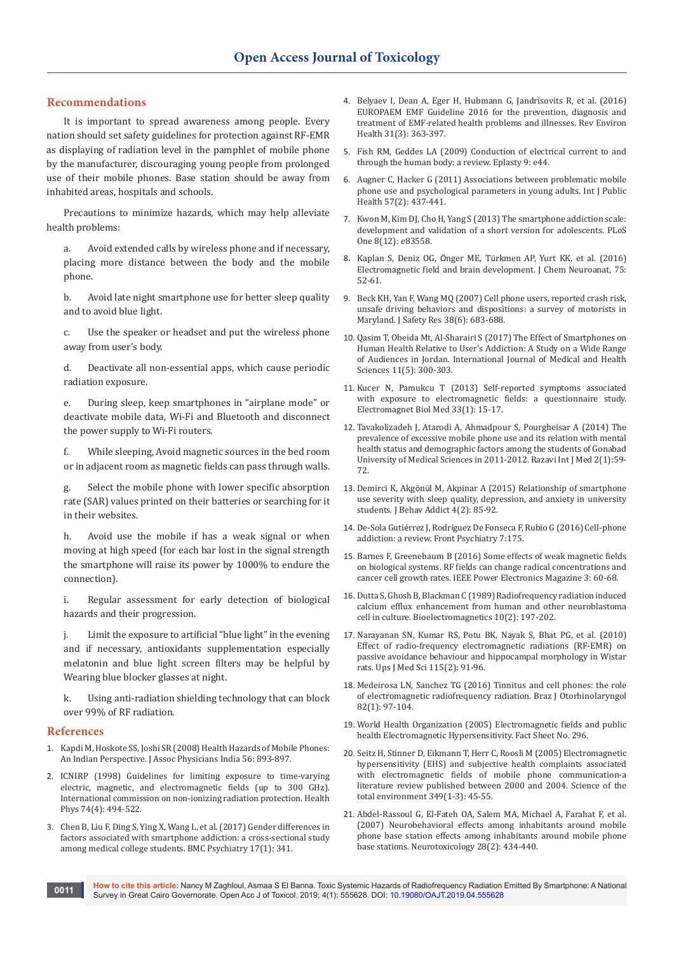### **Recommendations**

It is important to spread awareness among people. Every nation should set safety guidelines for protection against RF-EMR as displaying of radiation level in the pamphlet of mobile phone by the manufacturer, discouraging young people from prolonged use of their mobile phones. Base station should be away from inhabited areas, hospitals and schools.

Precautions to minimize hazards, which may help alleviate health problems:

a. Avoid extended calls by wireless phone and if necessary, placing more distance between the body and the mobile phone.

b. Avoid late night smartphone use for better sleep quality and to avoid blue light.

c. Use the speaker or headset and put the wireless phone away from user's body.

d. Deactivate all non-essential apps, which cause periodic radiation exposure.

e. During sleep, keep smartphones in "airplane mode" or deactivate mobile data, Wi-Fi and Bluetooth and disconnect the power supply to Wi-Fi routers.

f. While sleeping, Avoid magnetic sources in the bed room or in adjacent room as magnetic fields can pass through walls.

g. Select the mobile phone with lower specific absorption rate (SAR) values printed on their batteries or searching for it in their websites.

h. Avoid use the mobile if has a weak signal or when moving at high speed (for each bar lost in the signal strength the smartphone will raise its power by 1000% to endure the connection).

i. Regular assessment for early detection of biological hazards and their progression.

j. Limit the exposure to artificial "blue light" in the evening and if necessary, antioxidants supplementation especially melatonin and blue light screen filters may be helpful by Wearing blue blocker glasses at night.

Using anti-radiation shielding technology that can block over 99% of RF radiation.

#### **References**

- 1. [Kapdi M, Hoskote SS, Joshi SR \(2008\) Health Hazards of Mobile Phones:](https://www.ncbi.nlm.nih.gov/pubmed/19263689)  [An Indian Perspective. J Assoc Physicians India 56: 893-897.](https://www.ncbi.nlm.nih.gov/pubmed/19263689)
- 2. [ICNIRP \(1998\) Guidelines for limiting exposure to time-varying](https://www.ncbi.nlm.nih.gov/pubmed/9525427)  [electric, magnetic, and electromagnetic fields \(up to 300 GHz\).](https://www.ncbi.nlm.nih.gov/pubmed/9525427)  [International commission on non-ionizing radiation protection. Health](https://www.ncbi.nlm.nih.gov/pubmed/9525427)  [Phys 74\(4\): 494-522.](https://www.ncbi.nlm.nih.gov/pubmed/9525427)
- 3. [Chen B, Liu F, Ding S, Ying X, Wang L, et al. \(2017\) Gender differences in](https://www.ncbi.nlm.nih.gov/pubmed/29017482)  [factors associated with smartphone addiction: a cross-sectional study](https://www.ncbi.nlm.nih.gov/pubmed/29017482)  [among medical college students. BMC Psychiatry 17\(1\): 341.](https://www.ncbi.nlm.nih.gov/pubmed/29017482)
- 4. [Belyaev I, Dean A, Eger H, Hubmann G, Jandrisovits R, et al. \(2016\)](https://www.ncbi.nlm.nih.gov/pubmed/27454111)  [EUROPAEM EMF Guideline 2016 for the prevention, diagnosis and](https://www.ncbi.nlm.nih.gov/pubmed/27454111)  [treatment of EMF-related health problems and illnesses. Rev Environ](https://www.ncbi.nlm.nih.gov/pubmed/27454111)  [Health 31\(3\): 363-397.](https://www.ncbi.nlm.nih.gov/pubmed/27454111)
- 5. [Fish RM, Geddes LA \(2009\) Conduction of electrical current to and](https://www.ncbi.nlm.nih.gov/pubmed/19907637)  [through the human body: a review. Eplasty 9: e44.](https://www.ncbi.nlm.nih.gov/pubmed/19907637)
- 6. [Augner C, Hacker G \(2011\) Associations between problematic mobile](https://www.ncbi.nlm.nih.gov/pubmed/21290162)  [phone use and psychological parameters in young adults. Int J Public](https://www.ncbi.nlm.nih.gov/pubmed/21290162)  [Health 57\(2\): 437-441.](https://www.ncbi.nlm.nih.gov/pubmed/21290162)
- 7. [Kwon M, Kim DJ, Cho H, Yang S \(2013\) The smartphone addiction scale:](https://www.ncbi.nlm.nih.gov/pubmed/24391787/)  [development and validation of a short version for adolescents. PLoS](https://www.ncbi.nlm.nih.gov/pubmed/24391787/)  [One 8\(12\): e83558.](https://www.ncbi.nlm.nih.gov/pubmed/24391787/)
- 8. Kaplan S, Deniz OG, Önger ME, Tü[rkmen AP, Yurt KK, et al. \(2016\)](https://www.sciencedirect.com/science/article/pii/S0891061815000952)  [Electromagnetic field and brain development. J Chem Neuroanat, 75:](https://www.sciencedirect.com/science/article/pii/S0891061815000952)  [52-61.](https://www.sciencedirect.com/science/article/pii/S0891061815000952)
- 9. [Beck KH, Yan F, Wang MQ \(2007\) Cell phone users, reported crash risk,](https://www.ncbi.nlm.nih.gov/pubmed/18054600)  [unsafe driving behaviors and dispositions: a survey of motorists in](https://www.ncbi.nlm.nih.gov/pubmed/18054600)  [Maryland. J Safety Res 38\(6\): 683-688.](https://www.ncbi.nlm.nih.gov/pubmed/18054600)
- 10. Qasim T, Obeida Mt, Al-Sharairi S (2017) The Effect of Smartphones on Human Health Relative to User's Addiction: A Study on a Wide Range of Audiences in Jordan. International Journal of Medical and Health Sciences 11(5): 300-303.
- 11. [Kucer N, Pamukcu T \(2013\) Self-reported symptoms associated](https://www.ncbi.nlm.nih.gov/pubmed/23730819)  [with exposure to electromagnetic fields: a questionnaire study.](https://www.ncbi.nlm.nih.gov/pubmed/23730819)  [Electromagnet Biol Med 33\(1\): 15-17.](https://www.ncbi.nlm.nih.gov/pubmed/23730819)
- 12. Tavakolizadeh J, Atarodi A, Ahmadpour S, Pourgheisar A (2014) The prevalence of excessive mobile phone use and its relation with mental health status and demographic factors among the students of Gonabad University of Medical Sciences in 2011-2012. Razavi Int J Med 2(1):59- 72.
- 13. Demirci K, Akgönü[l M, Akpinar A \(2015\) Relationship of smartphone](https://www.ncbi.nlm.nih.gov/pubmed/26132913)  [use severity with sleep quality, depression, and anxiety in university](https://www.ncbi.nlm.nih.gov/pubmed/26132913)  [students. J Behav Addict 4\(2\): 85-92.](https://www.ncbi.nlm.nih.gov/pubmed/26132913)
- 14. De-Sola Gutiérrez J, Rodrí[guez De Fonseca F, Rubio G \(2016\) Cell-phone](https://www.ncbi.nlm.nih.gov/pubmed/27822187/)  [addiction: a review. Front Psychiatry 7:175.](https://www.ncbi.nlm.nih.gov/pubmed/27822187/)
- 15. Barnes F, Greenebaum B (2016) Some effects of weak magnetic fields on biological systems. RF fields can change radical concentrations and cancer cell growth rates. IEEE Power Electronics Magazine 3: 60-68.
- 16. [Dutta S, Ghosh B, Blackman C \(1989\) Radiofrequency radiation induced](https://www.ncbi.nlm.nih.gov/pubmed/2540756)  [calcium efflux enhancement from human and other neuroblastoma](https://www.ncbi.nlm.nih.gov/pubmed/2540756)  [cell in culture. Bioelectromagnetics 10\(2\): 197-202.](https://www.ncbi.nlm.nih.gov/pubmed/2540756)
- 17. [Narayanan SN, Kumar RS, Potu BK, Nayak S, Bhat PG, et al. \(2010\)](https://www.ncbi.nlm.nih.gov/pubmed/20095879)  [Effect of radio-frequency electromagnetic radiations \(RF-EMR\) on](https://www.ncbi.nlm.nih.gov/pubmed/20095879)  [passive avoidance behaviour and hippocampal morphology in Wistar](https://www.ncbi.nlm.nih.gov/pubmed/20095879)  [rats. Ups J Med Sci 115\(2\): 91-96.](https://www.ncbi.nlm.nih.gov/pubmed/20095879)
- 18. [Medeirosa LN, Sanchez TG \(2016\) Tinnitus and cell phones: the role](https://www.ncbi.nlm.nih.gov/pubmed/26602000)  [of electromagnetic radiofrequency radiation. Braz J Otorhinolaryngol](https://www.ncbi.nlm.nih.gov/pubmed/26602000)  [82\(1\): 97-104.](https://www.ncbi.nlm.nih.gov/pubmed/26602000)
- 19. [World Health Organization \(2005\) Electromagnetic fields and public](https://www.who.int/peh-emf/publications/factsheets/en/)  [health Electromagnetic Hypersensitivity. Fact Sheet No. 296.](https://www.who.int/peh-emf/publications/factsheets/en/)
- 20. [Seitz H, Stinner D, Eikmann T, Herr C, Roosli M \(2005\) Electromagnetic](https://www.ncbi.nlm.nih.gov/pubmed/15975631)  [hypersensitivity \(EHS\) and subjective health complaints associated](https://www.ncbi.nlm.nih.gov/pubmed/15975631)  [with electromagnetic fields of mobile phone communication-a](https://www.ncbi.nlm.nih.gov/pubmed/15975631)  [literature review published between 2000 and 2004. Science of the](https://www.ncbi.nlm.nih.gov/pubmed/15975631)  [total environment 349\(1-3\): 45-55.](https://www.ncbi.nlm.nih.gov/pubmed/15975631)
- 21. [Abdel-Rassoul G, El-Fateh OA, Salem MA, Michael A, Farahat F, et al.](https://www.ncbi.nlm.nih.gov/pubmed/16962663)  [\(2007\) Neurobehavioral effects among inhabitants around mobile](https://www.ncbi.nlm.nih.gov/pubmed/16962663)  [phone base station effects among inhabitants around mobile phone](https://www.ncbi.nlm.nih.gov/pubmed/16962663)  [base stations. Neurotoxicology 28\(2\): 434-440.](https://www.ncbi.nlm.nih.gov/pubmed/16962663)

**How to cite this article:** Nancy M Zaghloul, Asmaa S El Banna. Toxic Systemic Hazards of Radiofrequency Radiation Emitted By Smartphone: A National **OO11 INCOVER CAIRS ATTICIT**: Naticy M Zagmoul, Asmala S El Banna. Toxic Systemic Hazards of Radionequency Radiation<br>Survey in Great Cairo Governorate. Open Acc J of Toxicol. 2019; 4(1): 555628. DOI: 10.19080/OAJT.2019.0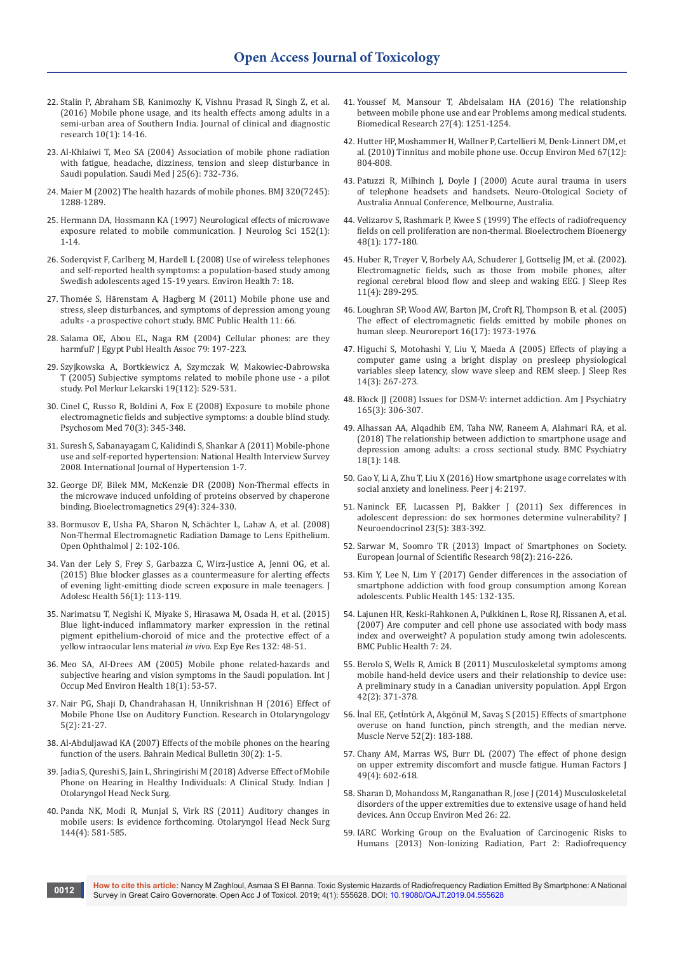- 22. [Stalin P, Abraham SB, Kanimozhy K, Vishnu Prasad R, Singh Z, et al.](https://www.ncbi.nlm.nih.gov/pubmed/26894095)  [\(2016\) Mobile phone usage, and its health effects among adults in a](https://www.ncbi.nlm.nih.gov/pubmed/26894095)  [semi-urban area of Southern India. Journal of clinical and diagnostic](https://www.ncbi.nlm.nih.gov/pubmed/26894095)  [research 10\(1\): 14-16.](https://www.ncbi.nlm.nih.gov/pubmed/26894095)
- 23. [Al-Khlaiwi T, Meo SA \(2004\) Association of mobile phone radiation](https://www.ncbi.nlm.nih.gov/pubmed/15195201)  [with fatigue, headache, dizziness, tension and sleep disturbance in](https://www.ncbi.nlm.nih.gov/pubmed/15195201)  [Saudi population. Saudi Med J 25\(6\): 732-736.](https://www.ncbi.nlm.nih.gov/pubmed/15195201)
- 24. [Maier M \(2002\) The health hazards of mobile phones. BMJ 320\(7245\):](https://www.ncbi.nlm.nih.gov/pubmed/10807602/)  [1288-1289.](https://www.ncbi.nlm.nih.gov/pubmed/10807602/)
- 25. [Hermann DA, Hossmann KA \(1997\) Neurological effects of microwave](https://www.ncbi.nlm.nih.gov/pubmed/9395121)  exposure related to mobile communication. J Neurolog Sci 152(1): [1-14.](https://www.ncbi.nlm.nih.gov/pubmed/9395121)
- 26. [Soderqvist F, Carlberg M, Hardell L \(2008\) Use of wireless telephones](https://www.ncbi.nlm.nih.gov/pubmed/18495003)  [and self-reported health symptoms: a population-based study among](https://www.ncbi.nlm.nih.gov/pubmed/18495003)  [Swedish adolescents aged 15-19 years. Environ Health 7: 18.](https://www.ncbi.nlm.nih.gov/pubmed/18495003)
- 27. Thomée S, Hä[renstam A, Hagberg M \(2011\) Mobile phone use and](https://www.ncbi.nlm.nih.gov/pubmed/21281471)  [stress, sleep disturbances, and symptoms of depression among young](https://www.ncbi.nlm.nih.gov/pubmed/21281471)  [adults - a prospective cohort study. BMC Public Health 11: 66.](https://www.ncbi.nlm.nih.gov/pubmed/21281471)
- 28. Salama OE, Abou EL, Naga RM (2004) Cellular phones: are they harmful? J Egypt Publ Health Assoc 79: 197-223.
- 29. [Szyjkowska A, Bortkiewicz A, Szymczak W, Makowiec-Dabrowska](https://www.ncbi.nlm.nih.gov/pubmed/16379318)  [T \(2005\) Subjective symptoms related to mobile phone use - a pilot](https://www.ncbi.nlm.nih.gov/pubmed/16379318)  [study. Pol Merkur Lekarski 19\(112\): 529-531.](https://www.ncbi.nlm.nih.gov/pubmed/16379318)
- 30. [Cinel C, Russo R, Boldini A, Fox E \(2008\) Exposure to mobile phone](https://www.ncbi.nlm.nih.gov/pubmed/18378872)  [electromagnetic fields and subjective symptoms: a double blind study.](https://www.ncbi.nlm.nih.gov/pubmed/18378872)  [Psychosom Med 70\(3\): 345-348.](https://www.ncbi.nlm.nih.gov/pubmed/18378872)
- 31. Suresh S, Sabanayagam C, Kalidindi S, Shankar A (2011) Mobile-phone use and self-reported hypertension: National Health Interview Survey 2008. International Journal of Hypertension 1-7.
- 32. [George DF, Bilek MM, McKenzie DR \(2008\) Non-Thermal effects in](https://www.ncbi.nlm.nih.gov/pubmed/18240290)  [the microwave induced unfolding of proteins observed by chaperone](https://www.ncbi.nlm.nih.gov/pubmed/18240290)  [binding. Bioelectromagnetics 29\(4\): 324-330.](https://www.ncbi.nlm.nih.gov/pubmed/18240290)
- 33. [Bormusov E, Usha PA, Sharon N, Sch](https://www.ncbi.nlm.nih.gov/pubmed/19517034/)ächter L, Lahav A, et al. (2008) [Non-Thermal Electromagnetic Radiation Damage to Lens Epithelium.](https://www.ncbi.nlm.nih.gov/pubmed/19517034/)  [Open Ophthalmol J 2: 102-106.](https://www.ncbi.nlm.nih.gov/pubmed/19517034/)
- 34. [Van der Lely S, Frey S, Garbazza C, Wirz-Justice A, Jenni OG, et al.](https://www.ncbi.nlm.nih.gov/pubmed/25287985)  [\(2015\) Blue blocker glasses as a countermeasure for alerting effects](https://www.ncbi.nlm.nih.gov/pubmed/25287985)  [of evening light-emitting diode screen exposure in male teenagers. J](https://www.ncbi.nlm.nih.gov/pubmed/25287985)  [Adolesc Health 56\(1\): 113-119.](https://www.ncbi.nlm.nih.gov/pubmed/25287985)
- 35. [Narimatsu T, Negishi K, Miyake S, Hirasawa M, Osada H, et al. \(2015\)](https://www.ncbi.nlm.nih.gov/pubmed/25576667)  [Blue light-induced inflammatory marker expression in the retinal](https://www.ncbi.nlm.nih.gov/pubmed/25576667)  [pigment epithelium-choroid of mice and the protective effect of a](https://www.ncbi.nlm.nih.gov/pubmed/25576667)  [yellow intraocular lens material](https://www.ncbi.nlm.nih.gov/pubmed/25576667) *in vivo*. Exp Eye Res 132: 48-51.
- 36. [Meo SA, Al-Drees AM \(2005\) Mobile phone related-hazards and](https://www.ncbi.nlm.nih.gov/pubmed/16052891)  [subjective hearing and vision symptoms in the Saudi population. Int J](https://www.ncbi.nlm.nih.gov/pubmed/16052891)  [Occup Med Environ Health 18\(1\): 53-57.](https://www.ncbi.nlm.nih.gov/pubmed/16052891)
- 37. [Nair PG, Shaji D, Chandrahasan H, Unnikrishnan H \(2016\) Effect of](http://article.sapub.org/10.5923.j.otolaryn.20160502.01.html)  [Mobile Phone Use on Auditory Function. Research in Otolaryngology](http://article.sapub.org/10.5923.j.otolaryn.20160502.01.html)  [5\(2\): 21-27.](http://article.sapub.org/10.5923.j.otolaryn.20160502.01.html)
- 38. [Al-Abduljawad KA \(2007\) Effects of the mobile phones on the hearing](http://www.bahrainmedicalbulletin.com/june_2008/Effect_mobile.pdf)  [function of the users. Bahrain Medical Bulletin 30\(2\): 1-5.](http://www.bahrainmedicalbulletin.com/june_2008/Effect_mobile.pdf)
- 39. [Jadia S, Qureshi S, Jain L, Shringirishi M \(2018\) Adverse Effect of Mobile](https://link.springer.com/article/10.1007%2Fs12070-018-1247-1)  [Phone on Hearing in Healthy Individuals: A Clinical Study. Indian J](https://link.springer.com/article/10.1007%2Fs12070-018-1247-1)  [Otolaryngol Head Neck Surg.](https://link.springer.com/article/10.1007%2Fs12070-018-1247-1)
- 40. [Panda NK, Modi R, Munjal S, Virk RS \(2011\) Auditory changes in](https://www.ncbi.nlm.nih.gov/pubmed/21493239)  [mobile users: Is evidence forthcoming. Otolaryngol Head Neck Surg](https://www.ncbi.nlm.nih.gov/pubmed/21493239)  [144\(4\): 581-585.](https://www.ncbi.nlm.nih.gov/pubmed/21493239)
- 41. [Youssef M, Mansour T, Abdelsalam HA \(2016\) The relationship](http://www.alliedacademies.org/articles/the-relationship-between-mobile-phone-use-and-ear-problems-among-medical-students.html)  [between mobile phone use and ear Problems among medical students.](http://www.alliedacademies.org/articles/the-relationship-between-mobile-phone-use-and-ear-problems-among-medical-students.html)  [Biomedical Research 27\(4\): 1251-1254.](http://www.alliedacademies.org/articles/the-relationship-between-mobile-phone-use-and-ear-problems-among-medical-students.html)
- 42. [Hutter HP, Moshammer H, Wallner P, Cartellieri M, Denk-Linnert DM, et](https://www.ncbi.nlm.nih.gov/pubmed/20573849)  [al. \(2010\) Tinnitus and mobile phone use. Occup Environ Med 67\(12\):](https://www.ncbi.nlm.nih.gov/pubmed/20573849)  [804-808.](https://www.ncbi.nlm.nih.gov/pubmed/20573849)
- 43. Patuzzi R, Milhinch J, Doyle J (2000) Acute aural trauma in users of telephone headsets and handsets. Neuro-Otological Society of Australia Annual Conference, Melbourne, Australia.
- 44. [Velizarov S, Rashmark P, Kwee S \(1999\) The effects of radiofrequency](https://www.ncbi.nlm.nih.gov/pubmed/10228585)  [fields on cell proliferation are non-thermal. Bioelectrochem Bioenergy](https://www.ncbi.nlm.nih.gov/pubmed/10228585)  [48\(1\): 177-180.](https://www.ncbi.nlm.nih.gov/pubmed/10228585)
- 45. [Huber R, Treyer V, Borbely AA, Schuderer J, Gottselig JM, et al. \(2002\).](https://www.ncbi.nlm.nih.gov/pubmed/12464096)  [Electromagnetic fields, such as those from mobile phones, alter](https://www.ncbi.nlm.nih.gov/pubmed/12464096)  [regional cerebral blood flow and sleep and waking EEG. J Sleep Res](https://www.ncbi.nlm.nih.gov/pubmed/12464096)  [11\(4\): 289-295.](https://www.ncbi.nlm.nih.gov/pubmed/12464096)
- 46. [Loughran SP, Wood AW, Barton JM, Croft RJ, Thompson B, et al. \(2005\)](https://www.ncbi.nlm.nih.gov/pubmed/16272890)  [The effect of electromagnetic fields emitted by mobile phones on](https://www.ncbi.nlm.nih.gov/pubmed/16272890)  [human sleep. Neuroreport 16\(17\): 1973-1976.](https://www.ncbi.nlm.nih.gov/pubmed/16272890)
- 47. [Higuchi S, Motohashi Y, Liu Y, Maeda A \(2005\) Effects of playing a](https://www.ncbi.nlm.nih.gov/pubmed/16120101)  [computer game using a bright display on presleep physiological](https://www.ncbi.nlm.nih.gov/pubmed/16120101)  [variables sleep latency, slow wave sleep and REM sleep. J Sleep Res](https://www.ncbi.nlm.nih.gov/pubmed/16120101)  [14\(3\): 267-273.](https://www.ncbi.nlm.nih.gov/pubmed/16120101)
- 48. Block JJ (2008) Issues for DSM-V: internet addiction. Am J Psychiatry [165\(3\): 306-307.](https://www.ncbi.nlm.nih.gov/pubmed/18316427)
- 49. [Alhassan AA, Alqadhib EM, Taha NW, Raneem A, Alahmari RA, et al.](https://www.ncbi.nlm.nih.gov/pubmed/29801442)  [\(2018\) The relationship between addiction to smartphone usage and](https://www.ncbi.nlm.nih.gov/pubmed/29801442)  [depression among adults: a cross sectional study. BMC Psychiatry](https://www.ncbi.nlm.nih.gov/pubmed/29801442)  [18\(1\): 148.](https://www.ncbi.nlm.nih.gov/pubmed/29801442)
- 50. [Gao Y, Li A, Zhu T, Liu X \(2016\) How smartphone usage correlates with](https://www.ncbi.nlm.nih.gov/pubmed/27478700)  [social anxiety and loneliness. Peer j 4: 2197.](https://www.ncbi.nlm.nih.gov/pubmed/27478700)
- 51. [Naninck EF, Lucassen PJ, Bakker J \(2011\) Sex differences in](https://www.ncbi.nlm.nih.gov/pubmed/21418338)  [adolescent depression: do sex hormones determine vulnerability? J](https://www.ncbi.nlm.nih.gov/pubmed/21418338)  [Neuroendocrinol 23\(5\): 383-392.](https://www.ncbi.nlm.nih.gov/pubmed/21418338)
- 52. [Sarwar M, Soomro TR \(2013\) Impact of Smartphones on Society.](https://pdfs.semanticscholar.org/2c28/0b6a690442a97a571e09b2404e2d21720db4.pdf)  [European Journal of Scientific Research 98\(2\): 216-226.](https://pdfs.semanticscholar.org/2c28/0b6a690442a97a571e09b2404e2d21720db4.pdf)
- 53. [Kim Y, Lee N, Lim Y \(2017\) Gender differences in the association of](https://www.ncbi.nlm.nih.gov/pubmed/28359381)  [smartphone addiction with food group consumption among Korean](https://www.ncbi.nlm.nih.gov/pubmed/28359381)  [adolescents. Public Health 145: 132-135.](https://www.ncbi.nlm.nih.gov/pubmed/28359381)
- 54. [Lajunen HR, Keski-Rahkonen A, Pulkkinen L, Rose RJ, Rissanen A, et al.](https://www.ncbi.nlm.nih.gov/pubmed/17324280)  [\(2007\) Are computer and cell phone use associated with body mass](https://www.ncbi.nlm.nih.gov/pubmed/17324280)  [index and overweight? A population study among twin adolescents.](https://www.ncbi.nlm.nih.gov/pubmed/17324280)  [BMC Public Health 7: 24.](https://www.ncbi.nlm.nih.gov/pubmed/17324280)
- 55. [Berolo S, Wells R, Amick B \(2011\) Musculoskeletal symptoms among](https://www.ncbi.nlm.nih.gov/pubmed/20833387)  [mobile hand-held device users and their relationship to device use:](https://www.ncbi.nlm.nih.gov/pubmed/20833387)  [A preliminary study in a Canadian university population. Appl Ergon](https://www.ncbi.nlm.nih.gov/pubmed/20833387)  [42\(2\): 371-378.](https://www.ncbi.nlm.nih.gov/pubmed/20833387)
- 56. İnal EE, Çetİntürk A, Akgönül M, Savaş [S \(2015\) Effects of smartphone](https://www.ncbi.nlm.nih.gov/pubmed/25914119)  [overuse on hand function, pinch strength, and the median nerve.](https://www.ncbi.nlm.nih.gov/pubmed/25914119)  [Muscle Nerve 52\(2\): 183-188.](https://www.ncbi.nlm.nih.gov/pubmed/25914119)
- 57. [Chany AM, Marras WS, Burr DL \(2007\) The effect of phone design](https://www.ncbi.nlm.nih.gov/pubmed/17702212)  [on upper extremity discomfort and muscle fatigue. Human Factors J](https://www.ncbi.nlm.nih.gov/pubmed/17702212)  [49\(4\): 602-618.](https://www.ncbi.nlm.nih.gov/pubmed/17702212)
- 58. [Sharan D, Mohandoss M, Ranganathan R, Jose J \(2014\) Musculoskeletal](https://www.ncbi.nlm.nih.gov/pubmed/25852936/)  [disorders of the upper extremities due to extensive usage of hand held](https://www.ncbi.nlm.nih.gov/pubmed/25852936/)  [devices. Ann Occup Environ Med 26: 22.](https://www.ncbi.nlm.nih.gov/pubmed/25852936/)
- 59. [IARC Working Group on the Evaluation of Carcinogenic Risks to](https://monographs.iarc.fr/wp-content/uploads/2018/06/mono102.pdf)  [Humans \(2013\) Non-Ionizing Radiation, Part 2: Radiofrequency](https://monographs.iarc.fr/wp-content/uploads/2018/06/mono102.pdf)

**How to cite this article:** Nancy M Zaghloul, Asmaa S El Banna. Toxic Systemic Hazards of Radiofrequency Radiation Emitted By Smartphone: A National **OO12 INCOVER CAIRS ATTICIS:** Naticy M Zagmoul, Asmala S El Banna. Toxic Systemic Hazards of Radionequency Radiation<br>Survey in Great Cairo Governorate. Open Acc J of Toxicol. 2019; 4(1): 555628. DOI: 10.19080/OAJT.2019.0